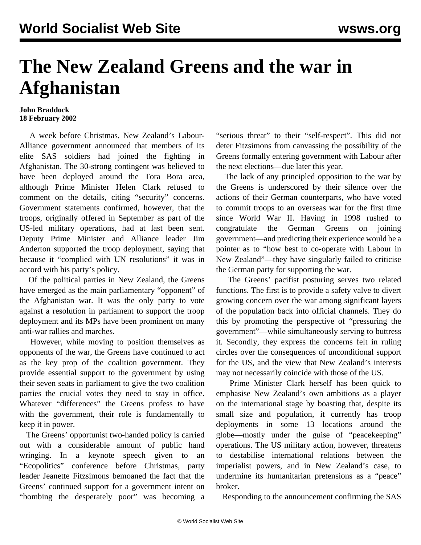## **The New Zealand Greens and the war in Afghanistan**

## **John Braddock 18 February 2002**

 A week before Christmas, New Zealand's Labour-Alliance government announced that members of its elite SAS soldiers had joined the fighting in Afghanistan. The 30-strong contingent was believed to have been deployed around the Tora Bora area, although Prime Minister Helen Clark refused to comment on the details, citing "security" concerns. Government statements confirmed, however, that the troops, originally offered in September as part of the US-led military operations, had at last been sent. Deputy Prime Minister and Alliance leader Jim Anderton supported the troop deployment, saying that because it "complied with UN resolutions" it was in accord with his party's policy.

 Of the political parties in New Zealand, the Greens have emerged as the main parliamentary "opponent" of the Afghanistan war. It was the only party to vote against a resolution in parliament to support the troop deployment and its MPs have been prominent on many anti-war rallies and marches.

 However, while moving to position themselves as opponents of the war, the Greens have continued to act as the key prop of the coalition government. They provide essential support to the government by using their seven seats in parliament to give the two coalition parties the crucial votes they need to stay in office. Whatever "differences" the Greens profess to have with the government, their role is fundamentally to keep it in power.

 The Greens' opportunist two-handed policy is carried out with a considerable amount of public hand wringing. In a keynote speech given to an "Ecopolitics" conference before Christmas, party leader Jeanette Fitzsimons bemoaned the fact that the Greens' continued support for a government intent on "bombing the desperately poor" was becoming a "serious threat" to their "self-respect". This did not deter Fitzsimons from canvassing the possibility of the Greens formally entering government with Labour after the next elections—due later this year.

 The lack of any principled opposition to the war by the Greens is underscored by their silence over the actions of their German counterparts, who have voted to commit troops to an overseas war for the first time since World War II. Having in 1998 rushed to congratulate the German Greens on joining government—and predicting their experience would be a pointer as to "how best to co-operate with Labour in New Zealand"—they have singularly failed to criticise the German party for supporting the war.

 The Greens' pacifist posturing serves two related functions. The first is to provide a safety valve to divert growing concern over the war among significant layers of the population back into official channels. They do this by promoting the perspective of "pressuring the government"—while simultaneously serving to buttress it. Secondly, they express the concerns felt in ruling circles over the consequences of unconditional support for the US, and the view that New Zealand's interests may not necessarily coincide with those of the US.

 Prime Minister Clark herself has been quick to emphasise New Zealand's own ambitions as a player on the international stage by boasting that, despite its small size and population, it currently has troop deployments in some 13 locations around the globe—mostly under the guise of "peacekeeping" operations. The US military action, however, threatens to destabilise international relations between the imperialist powers, and in New Zealand's case, to undermine its humanitarian pretensions as a "peace" broker.

Responding to the announcement confirming the SAS